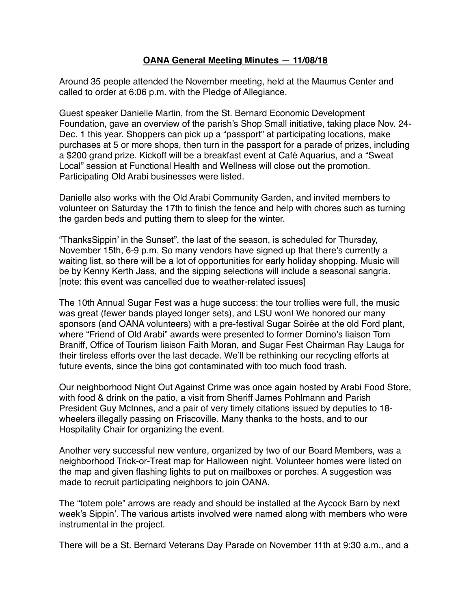## **OANA General Meeting Minutes — 11/08/18**

Around 35 people attended the November meeting, held at the Maumus Center and called to order at 6:06 p.m. with the Pledge of Allegiance.

Guest speaker Danielle Martin, from the St. Bernard Economic Development Foundation, gave an overview of the parish's Shop Small initiative, taking place Nov. 24- Dec. 1 this year. Shoppers can pick up a "passport" at participating locations, make purchases at 5 or more shops, then turn in the passport for a parade of prizes, including a \$200 grand prize. Kickoff will be a breakfast event at Café Aquarius, and a "Sweat Local" session at Functional Health and Wellness will close out the promotion. Participating Old Arabi businesses were listed.

Danielle also works with the Old Arabi Community Garden, and invited members to volunteer on Saturday the 17th to finish the fence and help with chores such as turning the garden beds and putting them to sleep for the winter.

"ThanksSippin' in the Sunset", the last of the season, is scheduled for Thursday, November 15th, 6-9 p.m. So many vendors have signed up that there's currently a waiting list, so there will be a lot of opportunities for early holiday shopping. Music will be by Kenny Kerth Jass, and the sipping selections will include a seasonal sangria. [note: this event was cancelled due to weather-related issues]

The 10th Annual Sugar Fest was a huge success: the tour trollies were full, the music was great (fewer bands played longer sets), and LSU won! We honored our many sponsors (and OANA volunteers) with a pre-festival Sugar Soirée at the old Ford plant, where "Friend of Old Arabi" awards were presented to former Domino's liaison Tom Braniff, Office of Tourism liaison Faith Moran, and Sugar Fest Chairman Ray Lauga for their tireless efforts over the last decade. We'll be rethinking our recycling efforts at future events, since the bins got contaminated with too much food trash.

Our neighborhood Night Out Against Crime was once again hosted by Arabi Food Store, with food & drink on the patio, a visit from Sheriff James Pohlmann and Parish President Guy McInnes, and a pair of very timely citations issued by deputies to 18 wheelers illegally passing on Friscoville. Many thanks to the hosts, and to our Hospitality Chair for organizing the event.

Another very successful new venture, organized by two of our Board Members, was a neighborhood Trick-or-Treat map for Halloween night. Volunteer homes were listed on the map and given flashing lights to put on mailboxes or porches. A suggestion was made to recruit participating neighbors to join OANA.

The "totem pole" arrows are ready and should be installed at the Aycock Barn by next week's Sippin'. The various artists involved were named along with members who were instrumental in the project.

There will be a St. Bernard Veterans Day Parade on November 11th at 9:30 a.m., and a